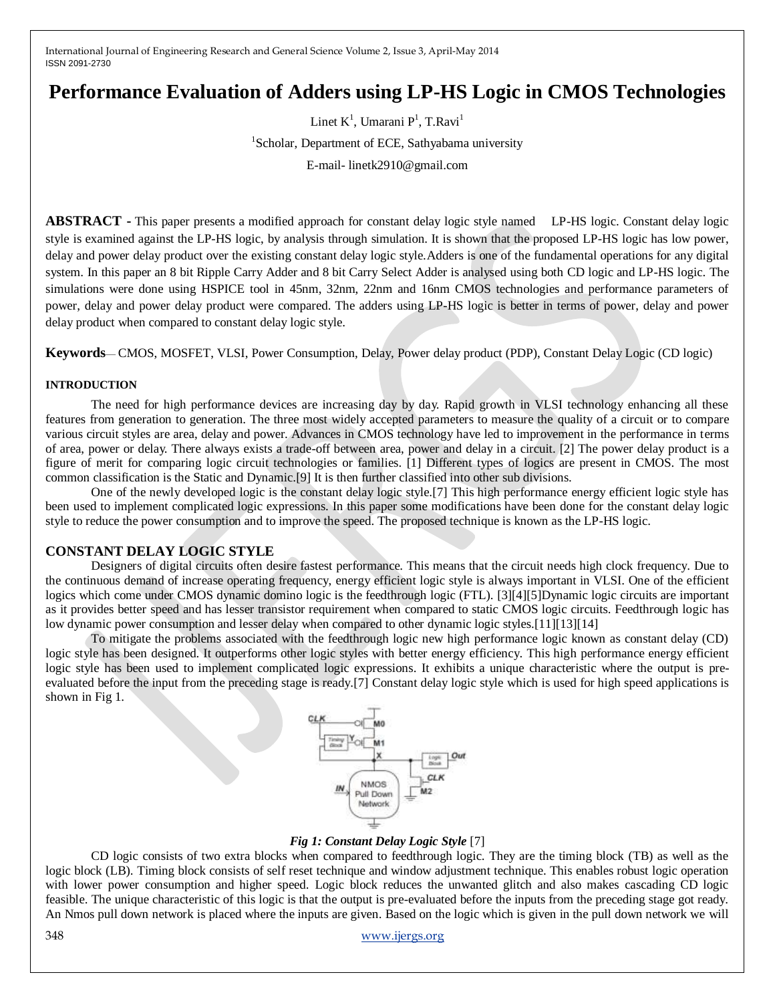# **Performance Evaluation of Adders using LP-HS Logic in CMOS Technologies**

Linet  $K^1$ , Umarani  $P^1$ , T.Ravi<sup>1</sup> <sup>1</sup>Scholar, Department of ECE, Sathyabama university E-mail- linetk2910@gmail.com

**ABSTRACT -** This paper presents a modified approach for constant delay logic style named LP-HS logic. Constant delay logic style is examined against the LP-HS logic, by analysis through simulation. It is shown that the proposed LP-HS logic has low power, delay and power delay product over the existing constant delay logic style.Adders is one of the fundamental operations for any digital system. In this paper an 8 bit Ripple Carry Adder and 8 bit Carry Select Adder is analysed using both CD logic and LP-HS logic. The simulations were done using HSPICE tool in 45nm, 32nm, 22nm and 16nm CMOS technologies and performance parameters of power, delay and power delay product were compared. The adders using LP-HS logic is better in terms of power, delay and power delay product when compared to constant delay logic style.

**Keywords**— CMOS, MOSFET, VLSI, Power Consumption, Delay, Power delay product (PDP), Constant Delay Logic (CD logic)

### **INTRODUCTION**

The need for high performance devices are increasing day by day. Rapid growth in VLSI technology enhancing all these features from generation to generation. The three most widely accepted parameters to measure the quality of a circuit or to compare various circuit styles are area, delay and power. Advances in CMOS technology have led to improvement in the performance in terms of area, power or delay. There always exists a trade-off between area, power and delay in a circuit. [2] The power delay product is a figure of merit for comparing logic circuit technologies or families. [1] Different types of logics are present in CMOS. The most common classification is the Static and Dynamic.[9] It is then further classified into other sub divisions.

One of the newly developed logic is the constant delay logic style.[7] This high performance energy efficient logic style has been used to implement complicated logic expressions. In this paper some modifications have been done for the constant delay logic style to reduce the power consumption and to improve the speed. The proposed technique is known as the LP-HS logic.

### **CONSTANT DELAY LOGIC STYLE**

Designers of digital circuits often desire fastest performance. This means that the circuit needs high clock frequency. Due to the continuous demand of increase operating frequency, energy efficient logic style is always important in VLSI. One of the efficient logics which come under CMOS dynamic domino logic is the feedthrough logic (FTL). [3][4][5]Dynamic logic circuits are important as it provides better speed and has lesser transistor requirement when compared to static CMOS logic circuits. Feedthrough logic has low dynamic power consumption and lesser delay when compared to other dynamic logic styles.[11][13][14]

To mitigate the problems associated with the feedthrough logic new high performance logic known as constant delay (CD) logic style has been designed. It outperforms other logic styles with better energy efficiency. This high performance energy efficient logic style has been used to implement complicated logic expressions. It exhibits a unique characteristic where the output is preevaluated before the input from the preceding stage is ready.[7] Constant delay logic style which is used for high speed applications is shown in Fig 1.



### *Fig 1: Constant Delay Logic Style* [7]

CD logic consists of two extra blocks when compared to feedthrough logic. They are the timing block (TB) as well as the logic block (LB). Timing block consists of self reset technique and window adjustment technique. This enables robust logic operation with lower power consumption and higher speed. Logic block reduces the unwanted glitch and also makes cascading CD logic feasible. The unique characteristic of this logic is that the output is pre-evaluated before the inputs from the preceding stage got ready. An Nmos pull down network is placed where the inputs are given. Based on the logic which is given in the pull down network we will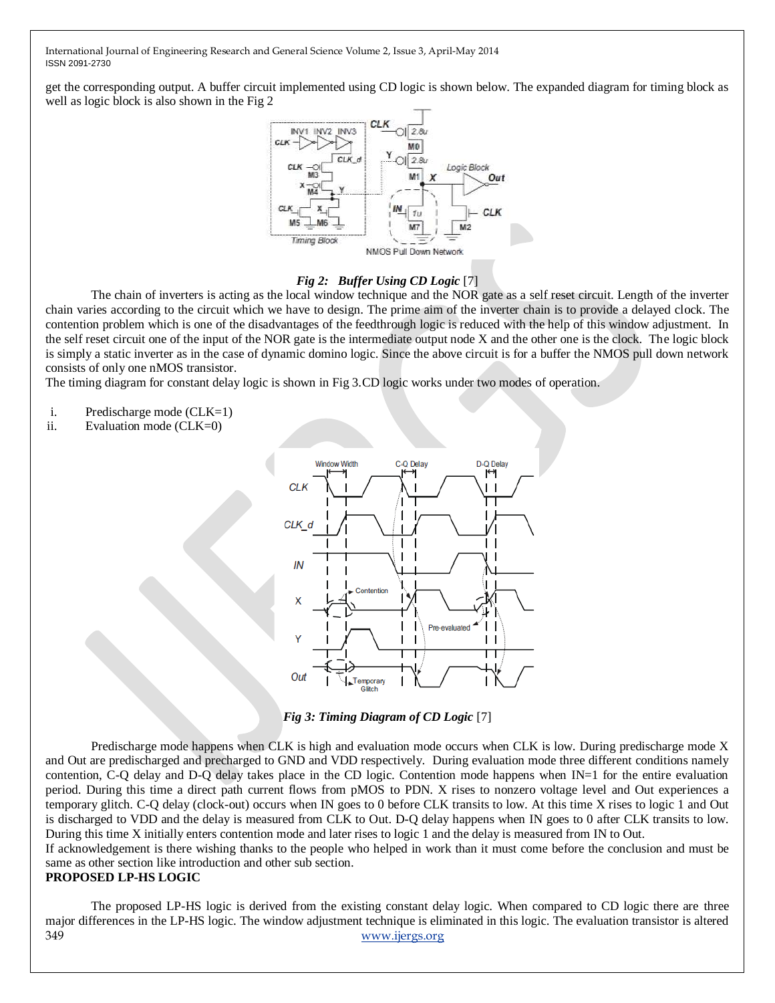get the corresponding output. A buffer circuit implemented using CD logic is shown below. The expanded diagram for timing block as well as logic block is also shown in the Fig 2



### *Fig 2: Buffer Using CD Logic* [7]

The chain of inverters is acting as the local window technique and the NOR gate as a self reset circuit. Length of the inverter chain varies according to the circuit which we have to design. The prime aim of the inverter chain is to provide a delayed clock. The contention problem which is one of the disadvantages of the feedthrough logic is reduced with the help of this window adjustment. In the self reset circuit one of the input of the NOR gate is the intermediate output node X and the other one is the clock. The logic block is simply a static inverter as in the case of dynamic domino logic. Since the above circuit is for a buffer the NMOS pull down network consists of only one nMOS transistor.

The timing diagram for constant delay logic is shown in Fig 3.CD logic works under two modes of operation.

- i. Predischarge mode (CLK=1)
- ii. Evaluation mode (CLK=0)



*Fig 3: Timing Diagram of CD Logic* [7]

Predischarge mode happens when CLK is high and evaluation mode occurs when CLK is low. During predischarge mode X and Out are predischarged and precharged to GND and VDD respectively. During evaluation mode three different conditions namely contention, C-Q delay and D-Q delay takes place in the CD logic. Contention mode happens when IN=1 for the entire evaluation period. During this time a direct path current flows from pMOS to PDN. X rises to nonzero voltage level and Out experiences a temporary glitch. C-Q delay (clock-out) occurs when IN goes to 0 before CLK transits to low. At this time X rises to logic 1 and Out is discharged to VDD and the delay is measured from CLK to Out. D-Q delay happens when IN goes to 0 after CLK transits to low. During this time X initially enters contention mode and later rises to logic 1 and the delay is measured from IN to Out.

If acknowledgement is there wishing thanks to the people who helped in work than it must come before the conclusion and must be same as other section like introduction and other sub section.

## **PROPOSED LP-HS LOGIC**

349 [www.ijergs.org](http://www.ijergs.org/) The proposed LP-HS logic is derived from the existing constant delay logic. When compared to CD logic there are three major differences in the LP-HS logic. The window adjustment technique is eliminated in this logic. The evaluation transistor is altered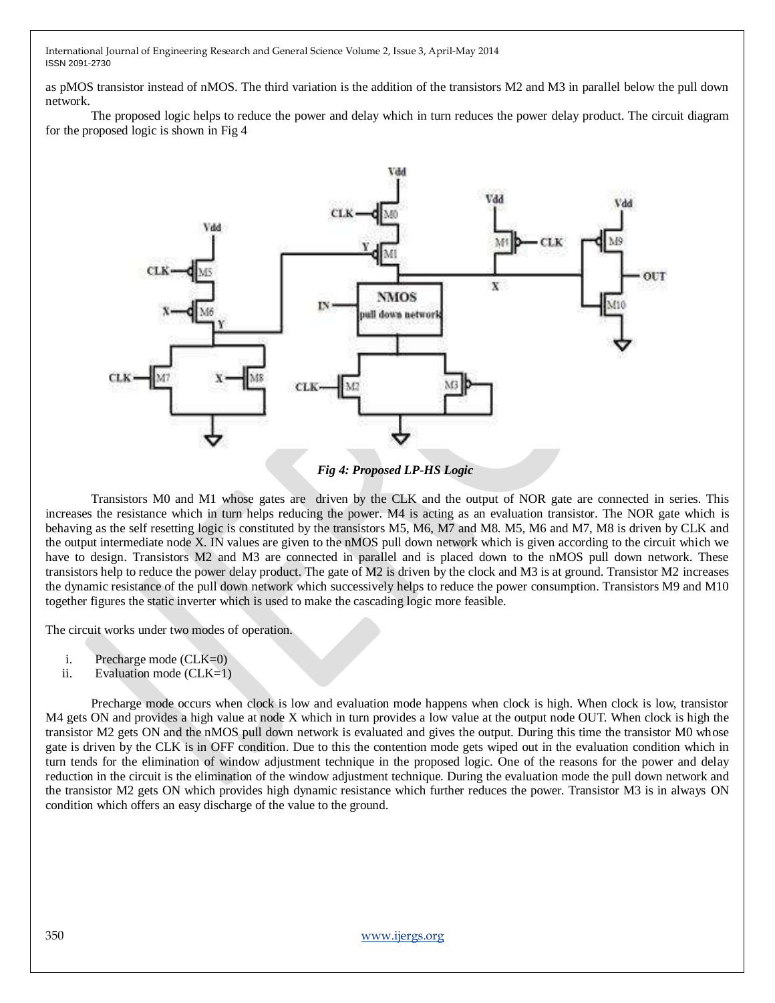as pMOS transistor instead of nMOS. The third variation is the addition of the transistors M2 and M3 in parallel below the pull down network.

The proposed logic helps to reduce the power and delay which in turn reduces the power delay product. The circuit diagram for the proposed logic is shown in Fig 4



 *Fig 4: Proposed LP-HS Logic*

Transistors M0 and M1 whose gates are driven by the CLK and the output of NOR gate are connected in series. This increases the resistance which in turn helps reducing the power. M4 is acting as an evaluation transistor. The NOR gate which is behaving as the self resetting logic is constituted by the transistors M5, M6, M7 and M8. M5, M6 and M7, M8 is driven by CLK and the output intermediate node X. IN values are given to the nMOS pull down network which is given according to the circuit which we have to design. Transistors M2 and M3 are connected in parallel and is placed down to the nMOS pull down network. These transistors help to reduce the power delay product. The gate of M2 is driven by the clock and M3 is at ground. Transistor M2 increases the dynamic resistance of the pull down network which successively helps to reduce the power consumption. Transistors M9 and M10 together figures the static inverter which is used to make the cascading logic more feasible.

The circuit works under two modes of operation.

- i. Precharge mode  $(CLK=0)$
- ii. Evaluation mode (CLK=1)

Precharge mode occurs when clock is low and evaluation mode happens when clock is high. When clock is low, transistor M4 gets ON and provides a high value at node X which in turn provides a low value at the output node OUT. When clock is high the transistor M2 gets ON and the nMOS pull down network is evaluated and gives the output. During this time the transistor M0 whose gate is driven by the CLK is in OFF condition. Due to this the contention mode gets wiped out in the evaluation condition which in turn tends for the elimination of window adjustment technique in the proposed logic. One of the reasons for the power and delay reduction in the circuit is the elimination of the window adjustment technique. During the evaluation mode the pull down network and the transistor M2 gets ON which provides high dynamic resistance which further reduces the power. Transistor M3 is in always ON condition which offers an easy discharge of the value to the ground.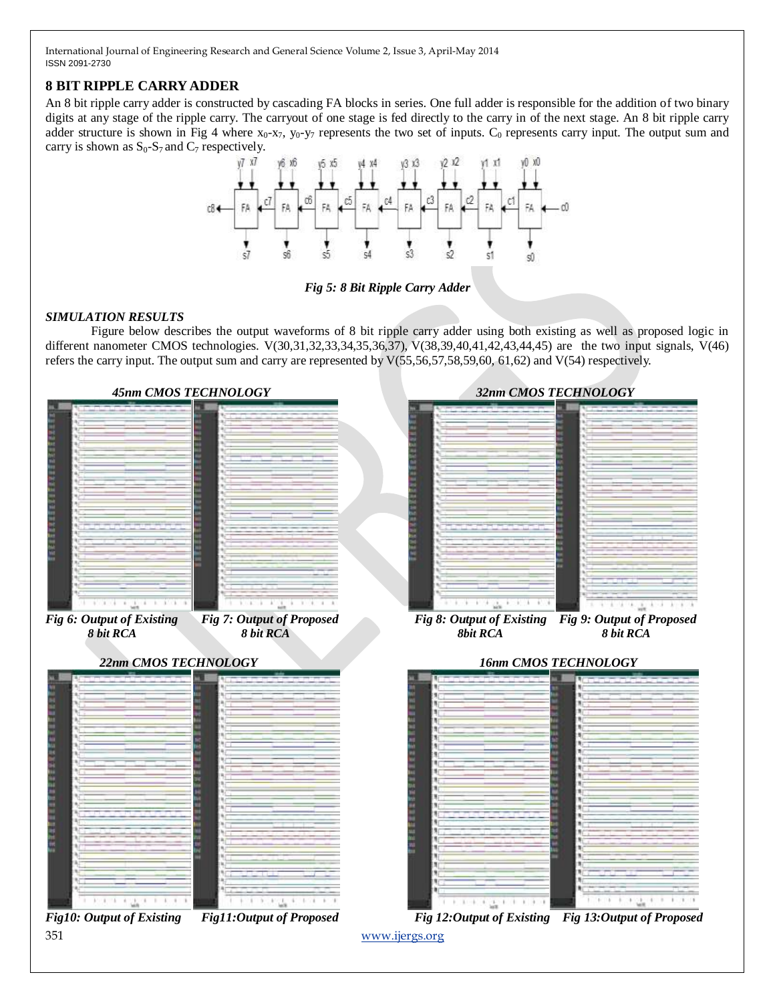# **8 BIT RIPPLE CARRY ADDER**

An 8 bit ripple carry adder is constructed by cascading FA blocks in series. One full adder is responsible for the addition of two binary digits at any stage of the ripple carry. The carryout of one stage is fed directly to the carry in of the next stage. An 8 bit ripple carry adder structure is shown in Fig 4 where  $x_0$ - $x_7$ ,  $y_0$ - $y_7$  represents the two set of inputs.  $C_0$  represents carry input. The output sum and carry is shown as  $S_0-S_7$  and  $C_7$  respectively.



*Fig 5: 8 Bit Ripple Carry Adder*

# *SIMULATION RESULTS*

Figure below describes the output waveforms of 8 bit ripple carry adder using both existing as well as proposed logic in different nanometer CMOS technologies. V(30,31,32,33,34,35,36,37), V(38,39,40,41,42,43,44,45) are the two input signals, V(46) refers the carry input. The output sum and carry are represented by V(55,56,57,58,59,60, 61,62) and V(54) respectively.

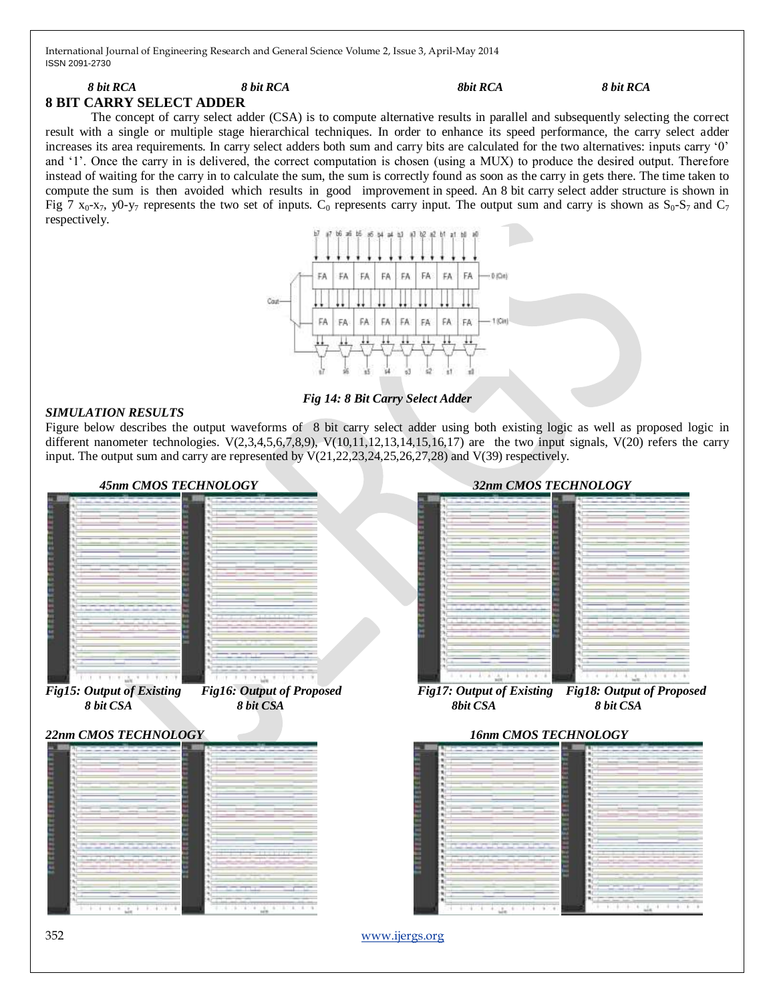### *8 bit RCA 8 bit RCA 8bit RCA 8 bit RCA* **8 BIT CARRY SELECT ADDER**

The concept of carry select adder (CSA) is to compute alternative results in parallel and subsequently selecting the correct result with a single or multiple stage hierarchical techniques. In order to enhance its speed performance, the carry select adder increases its area requirements. In carry select adders both sum and carry bits are calculated for the two alternatives: inputs carry '0' and ‗1'. Once the carry in is delivered, the correct computation is chosen (using a MUX) to produce the desired output. Therefore instead of waiting for the carry in to calculate the sum, the sum is correctly found as soon as the carry in gets there. The time taken to compute the sum is then avoided which results in good improvement in speed. An 8 bit carry select adder structure is shown in Fig 7  $x_0$ -x<sub>7</sub>, y0-y<sub>7</sub> represents the two set of inputs. C<sub>0</sub> represents carry input. The output sum and carry is shown as  $S_0$ -S<sub>7</sub> and C<sub>7</sub> respectively.



*Fig 14: 8 Bit Carry Select Adder*

### *SIMULATION RESULTS*

Figure below describes the output waveforms of 8 bit carry select adder using both existing logic as well as proposed logic in different nanometer technologies.  $V(2,3,4,5,6,7,8,9)$ ,  $V(10,11,12,13,14,15,16,17)$  are the two input signals,  $V(20)$  refers the carry input. The output sum and carry are represented by V(21,22,23,24,25,26,27,28) and V(39) respectively.



352 [www.ijergs.org](http://www.ijergs.org/)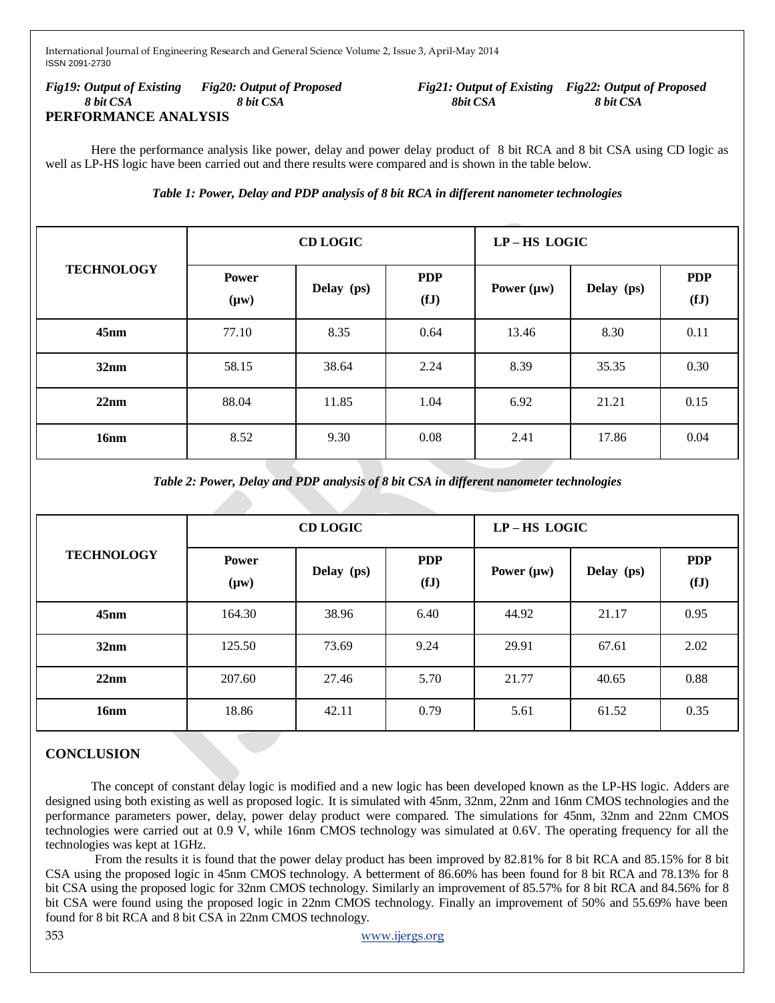*Fig19: Output of Existing Fig20: Output of Proposed Fig21: Output of Existing Fig22: Output of Proposed 8 bit CSA 8 bit CSA 8bit CSA 8 bit CSA* **PERFORMANCE ANALYSIS**

Here the performance analysis like power, delay and power delay product of 8 bit RCA and 8 bit CSA using CD logic as well as LP-HS logic have been carried out and there results were compared and is shown in the table below.

*Table 1: Power, Delay and PDP analysis of 8 bit RCA in different nanometer technologies*

| <b>TECHNOLOGY</b> | <b>CD LOGIC</b>           |            |                    | LP-HS LOGIC     |            |                    |
|-------------------|---------------------------|------------|--------------------|-----------------|------------|--------------------|
|                   | <b>Power</b><br>$(\mu w)$ | Delay (ps) | <b>PDP</b><br>(fJ) | Power $(\mu w)$ | Delay (ps) | <b>PDP</b><br>(fJ) |
| 45nm              | 77.10                     | 8.35       | 0.64               | 13.46           | 8.30       | 0.11               |
| 32nm              | 58.15                     | 38.64      | 2.24               | 8.39            | 35.35      | 0.30               |
| 22nm              | 88.04                     | 11.85      | 1.04               | 6.92            | 21.21      | 0.15               |
| 16nm              | 8.52                      | 9.30       | 0.08               | 2.41            | 17.86      | 0.04               |

*Table 2: Power, Delay and PDP analysis of 8 bit CSA in different nanometer technologies*

| <b>TECHNOLOGY</b> | <b>CD LOGIC</b>           |            |                    | LP-HS LOGIC     |            |                    |
|-------------------|---------------------------|------------|--------------------|-----------------|------------|--------------------|
|                   | <b>Power</b><br>$(\mu w)$ | Delay (ps) | <b>PDP</b><br>(fJ) | Power $(\mu w)$ | Delay (ps) | <b>PDP</b><br>(fJ) |
| $45$ nm           | 164.30                    | 38.96      | 6.40               | 44.92           | 21.17      | 0.95               |
| 32nm              | 125.50                    | 73.69      | 9.24               | 29.91           | 67.61      | 2.02               |
| 22nm              | 207.60                    | 27.46      | 5.70               | 21.77           | 40.65      | 0.88               |
| 16nm              | 18.86                     | 42.11      | 0.79               | 5.61            | 61.52      | 0.35               |

# **CONCLUSION**

The concept of constant delay logic is modified and a new logic has been developed known as the LP-HS logic. Adders are designed using both existing as well as proposed logic. It is simulated with 45nm, 32nm, 22nm and 16nm CMOS technologies and the performance parameters power, delay, power delay product were compared. The simulations for 45nm, 32nm and 22nm CMOS technologies were carried out at 0.9 V, while 16nm CMOS technology was simulated at 0.6V. The operating frequency for all the technologies was kept at 1GHz.

From the results it is found that the power delay product has been improved by 82.81% for 8 bit RCA and 85.15% for 8 bit CSA using the proposed logic in 45nm CMOS technology. A betterment of 86.60% has been found for 8 bit RCA and 78.13% for 8 bit CSA using the proposed logic for 32nm CMOS technology. Similarly an improvement of 85.57% for 8 bit RCA and 84.56% for 8 bit CSA were found using the proposed logic in 22nm CMOS technology. Finally an improvement of 50% and 55.69% have been found for 8 bit RCA and 8 bit CSA in 22nm CMOS technology.

353 [www.ijergs.org](http://www.ijergs.org/)